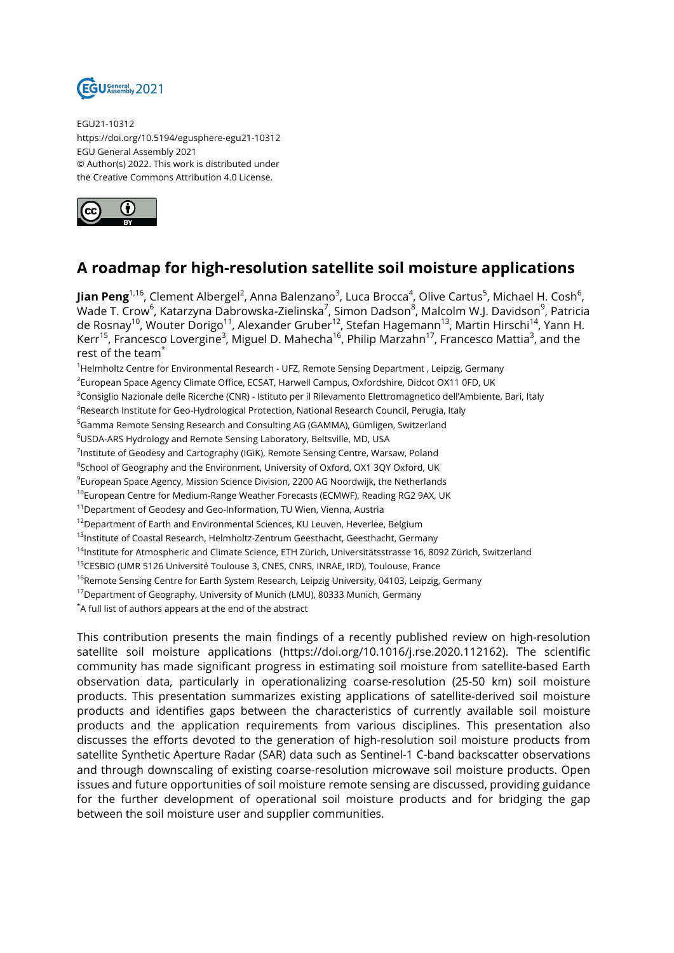

EGU21-10312 https://doi.org/10.5194/egusphere-egu21-10312 EGU General Assembly 2021 © Author(s) 2022. This work is distributed under the Creative Commons Attribution 4.0 License.



## **A roadmap for high-resolution satellite soil moisture applications**

**Jian Peng**<sup>1,16</sup>, Clement Albergel<sup>2</sup>, Anna Balenzano<sup>3</sup>, Luca Brocca<sup>4</sup>, Olive Cartus<sup>5</sup>, Michael H. Cosh<sup>6</sup>, Wade T. Crow $^6$ , Katarzyna Dabrowska-Zielinska $^7$ , Simon Dadson $^8$ , Malcolm W.J. Davidson $^9$ , Patricia de Rosnay<sup>10</sup>, Wouter Dorigo<sup>11</sup>, Alexander Gruber<sup>12</sup>, Stefan Hagemann<sup>13</sup>, Martin Hirschi<sup>14</sup>, Yann H. Kerr<sup>15</sup>, Francesco Lovergine<sup>3</sup>, Miguel D. Mahecha<sup>16</sup>, Philip Marzahn<sup>17</sup>, Francesco Mattia<sup>3</sup>, and the rest of the team\*

<sup>1</sup>Helmholtz Centre for Environmental Research - UFZ, Remote Sensing Department, Leipzig, Germany

<sup>2</sup>European Space Agency Climate Office, ECSAT, Harwell Campus, Oxfordshire, Didcot OX11 0FD, UK

<sup>3</sup>Consiglio Nazionale delle Ricerche (CNR) - Istituto per il Rilevamento Elettromagnetico dell'Ambiente, Bari, Italy

 $^4$ Research Institute for Geo-Hydrological Protection, National Research Council, Perugia, Italy

<sup>5</sup>Gamma Remote Sensing Research and Consulting AG (GAMMA), Gümligen, Switzerland

<sup>6</sup>USDA-ARS Hydrology and Remote Sensing Laboratory, Beltsville, MD, USA

 $^7$ Institute of Geodesy and Cartography (IGiK), Remote Sensing Centre, Warsaw, Poland

 $^8$ School of Geography and the Environment, University of Oxford, OX1 3QY Oxford, UK

 $^9$ European Space Agency, Mission Science Division, 2200 AG Noordwijk, the Netherlands

<sup>10</sup>European Centre for Medium-Range Weather Forecasts (ECMWF), Reading RG2 9AX, UK

<sup>11</sup> Department of Geodesy and Geo-Information, TU Wien, Vienna, Austria

<sup>12</sup>Department of Earth and Environmental Sciences, KU Leuven, Heverlee, Belgium

<sup>13</sup>Institute of Coastal Research, Helmholtz-Zentrum Geesthacht, Geesthacht, Germany

<sup>14</sup>Institute for Atmospheric and Climate Science, ETH Zürich, Universitätsstrasse 16, 8092 Zürich, Switzerland

<sup>15</sup>CESBIO (UMR 5126 Université Toulouse 3, CNES, CNRS, INRAE, IRD), Toulouse, France

<sup>16</sup>Remote Sensing Centre for Earth System Research, Leipzig University, 04103, Leipzig, Germany

<sup>17</sup> Department of Geography, University of Munich (LMU), 80333 Munich, Germany

\*A full list of authors appears at the end of the abstract

This contribution presents the main findings of a recently published review on high-resolution satellite soil moisture applications (https://doi.org/10.1016/j.rse.2020.112162). The scientific community has made significant progress in estimating soil moisture from satellite-based Earth observation data, particularly in operationalizing coarse-resolution (25-50 km) soil moisture products. This presentation summarizes existing applications of satellite-derived soil moisture products and identifies gaps between the characteristics of currently available soil moisture products and the application requirements from various disciplines. This presentation also discusses the efforts devoted to the generation of high-resolution soil moisture products from satellite Synthetic Aperture Radar (SAR) data such as Sentinel-1 C-band backscatter observations and through downscaling of existing coarse-resolution microwave soil moisture products. Open issues and future opportunities of soil moisture remote sensing are discussed, providing guidance for the further development of operational soil moisture products and for bridging the gap between the soil moisture user and supplier communities.